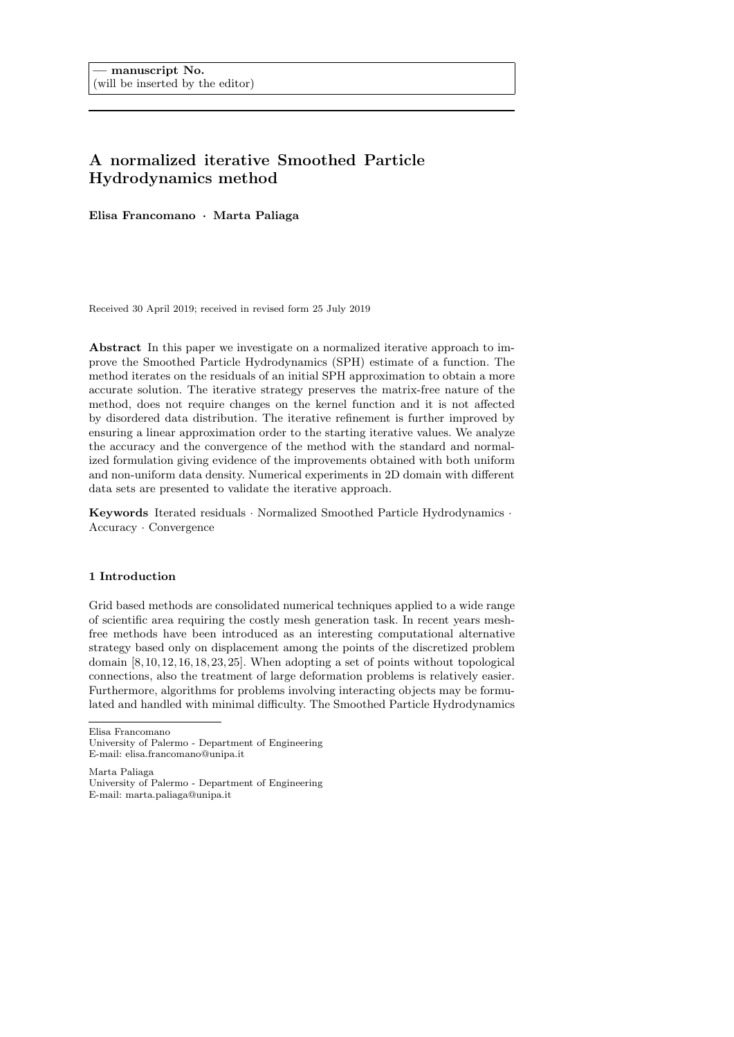# A normalized iterative Smoothed Particle Hydrodynamics method

Elisa Francomano *·* Marta Paliaga

Received 30 April 2019; received in revised form 25 July 2019

Abstract In this paper we investigate on a normalized iterative approach to improve the Smoothed Particle Hydrodynamics (SPH) estimate of a function. The method iterates on the residuals of an initial SPH approximation to obtain a more accurate solution. The iterative strategy preserves the matrix-free nature of the method, does not require changes on the kernel function and it is not affected by disordered data distribution. The iterative refinement is further improved by ensuring a linear approximation order to the starting iterative values. We analyze the accuracy and the convergence of the method with the standard and normalized formulation giving evidence of the improvements obtained with both uniform and non-uniform data density. Numerical experiments in 2D domain with different data sets are presented to validate the iterative approach.

Keywords Iterated residuals *·* Normalized Smoothed Particle Hydrodynamics *·* Accuracy *·* Convergence

## 1 Introduction

Grid based methods are consolidated numerical techniques applied to a wide range of scientific area requiring the costly mesh generation task. In recent years meshfree methods have been introduced as an interesting computational alternative strategy based only on displacement among the points of the discretized problem domain [8, 10, 12, 16, 18, 23, 25]. When adopting a set of points without topological connections, also the treatment of large deformation problems is relatively easier. Furthermore, algorithms for problems involving interacting objects may be formulated and handled with minimal difficulty. The Smoothed Particle Hydrodynamics

Elisa Francomano

University of Palermo - Department of Engineering E-mail: elisa.francomano@unipa.it

Marta Paliaga

University of Palermo - Department of Engineering E-mail: marta.paliaga@unipa.it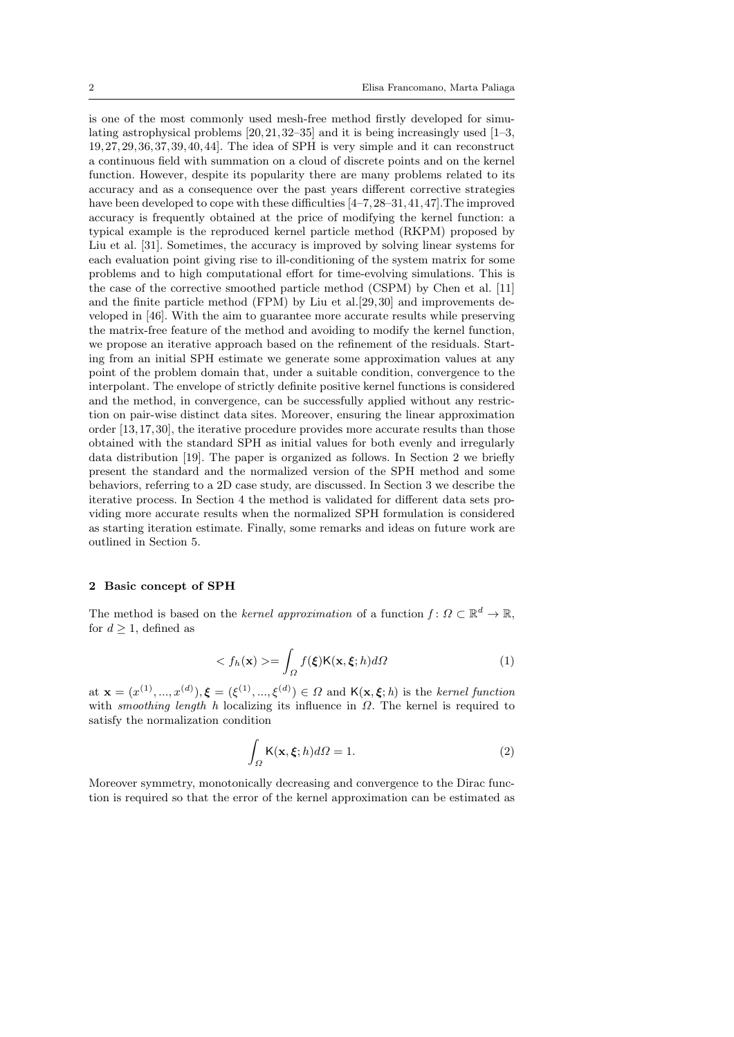is one of the most commonly used mesh-free method firstly developed for simulating astrophysical problems [20,21, 32–35] and it is being increasingly used [1–3, 19, 27,29, 36, 37, 39,40, 44]. The idea of SPH is very simple and it can reconstruct a continuous field with summation on a cloud of discrete points and on the kernel function. However, despite its popularity there are many problems related to its accuracy and as a consequence over the past years different corrective strategies have been developed to cope with these difficulties  $[4-7, 28-31, 41, 47]$ . The improved accuracy is frequently obtained at the price of modifying the kernel function: a typical example is the reproduced kernel particle method (RKPM) proposed by Liu et al. [31]. Sometimes, the accuracy is improved by solving linear systems for each evaluation point giving rise to ill-conditioning of the system matrix for some problems and to high computational effort for time-evolving simulations. This is the case of the corrective smoothed particle method (CSPM) by Chen et al. [11] and the finite particle method (FPM) by Liu et al.[29, 30] and improvements developed in [46]. With the aim to guarantee more accurate results while preserving the matrix-free feature of the method and avoiding to modify the kernel function, we propose an iterative approach based on the refinement of the residuals. Starting from an initial SPH estimate we generate some approximation values at any point of the problem domain that, under a suitable condition, convergence to the interpolant. The envelope of strictly definite positive kernel functions is considered and the method, in convergence, can be successfully applied without any restriction on pair-wise distinct data sites. Moreover, ensuring the linear approximation order [13, 17, 30], the iterative procedure provides more accurate results than those obtained with the standard SPH as initial values for both evenly and irregularly data distribution [19]. The paper is organized as follows. In Section 2 we briefly present the standard and the normalized version of the SPH method and some behaviors, referring to a 2D case study, are discussed. In Section 3 we describe the iterative process. In Section 4 the method is validated for different data sets providing more accurate results when the normalized SPH formulation is considered as starting iteration estimate. Finally, some remarks and ideas on future work are outlined in Section 5.

## 2 Basic concept of SPH

The method is based on the *kernel approximation* of a function  $f: \Omega \subset \mathbb{R}^d \to \mathbb{R}$ , for  $d \geq 1$ , defined as

$$
\langle f_h(\mathbf{x}) \rangle = \int_{\Omega} f(\xi) \mathsf{K}(\mathbf{x}, \xi; h) d\Omega \tag{1}
$$

at  $\mathbf{x} = (x^{(1)}, ..., x^{(d)}), \boldsymbol{\xi} = (\xi^{(1)}, ..., \xi^{(d)}) \in \Omega$  and  $\mathsf{K}(\mathbf{x}, \boldsymbol{\xi}; h)$  is the *kernel function* with *smoothing length h* localizing its influence in  $\Omega$ . The kernel is required to satisfy the normalization condition

$$
\int_{\Omega} \mathsf{K}(\mathbf{x}, \xi; h) d\Omega = 1.
$$
\n(2)

Moreover symmetry, monotonically decreasing and convergence to the Dirac function is required so that the error of the kernel approximation can be estimated as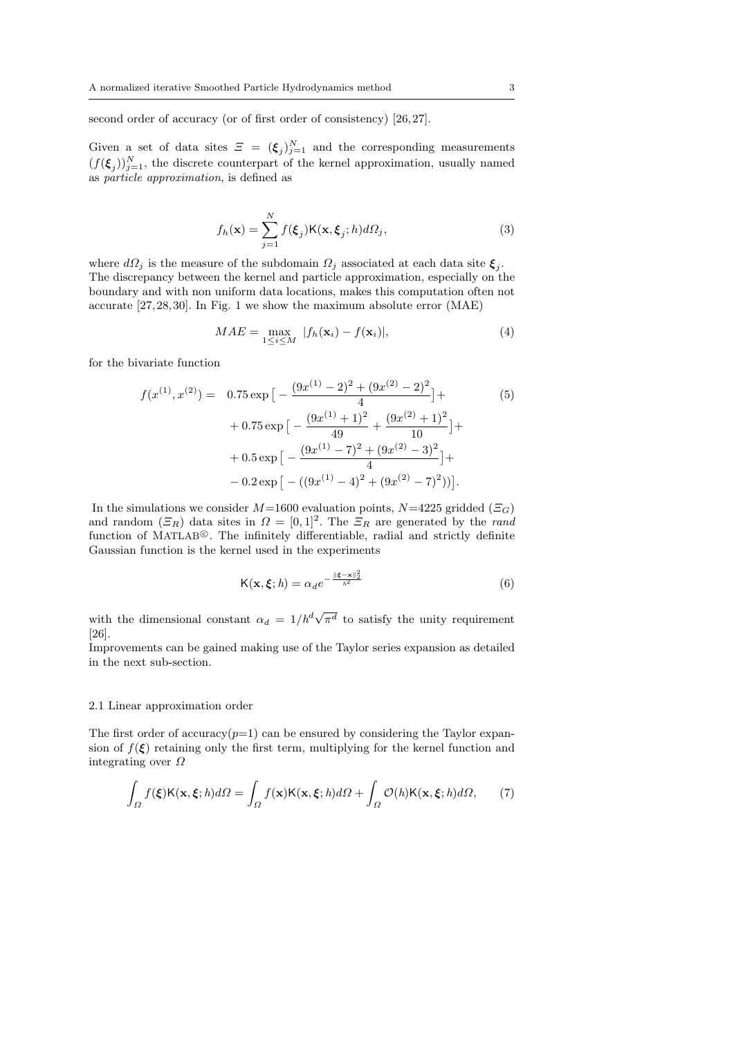second order of accuracy (or of first order of consistency) [26,27].

Given a set of data sites  $\mathcal{Z} = (\xi_j)_{j=1}^N$  and the corresponding measurements  $(f(\xi_j))_{j=1}^N$ , the discrete counterpart of the kernel approximation, usually named as *particle approximation*, is defined as

$$
f_h(\mathbf{x}) = \sum_{j=1}^N f(\xi_j) \mathsf{K}(\mathbf{x}, \xi_j; h) d\Omega_j,
$$
\n(3)

where  $d\Omega_j$  is the measure of the subdomain  $\Omega_j$  associated at each data site  $\xi_j$ . The discrepancy between the kernel and particle approximation, especially on the boundary and with non uniform data locations, makes this computation often not accurate [27, 28, 30]. In Fig. 1 we show the maximum absolute error (MAE)

$$
MAE = \max_{1 \le i \le M} |f_h(\mathbf{x}_i) - f(\mathbf{x}_i)|,\tag{4}
$$

for the bivariate function

$$
f(x^{(1)}, x^{(2)}) = 0.75 \exp \left[ -\frac{(9x^{(1)} - 2)^2 + (9x^{(2)} - 2)^2}{4} \right] + 0.75 \exp \left[ -\frac{(9x^{(1)} + 1)^2}{49} + \frac{(9x^{(2)} + 1)^2}{10} \right] + 0.5 \exp \left[ -\frac{(9x^{(1)} - 7)^2 + (9x^{(2)} - 3)^2}{4} \right] + -0.2 \exp \left[ -((9x^{(1)} - 4)^2 + (9x^{(2)} - 7)^2) \right].
$$
 (5)

In the simulations we consider  $M=1600$  evaluation points,  $N=4225$  gridded ( $\Xi$ <sub>*G*</sub>) and random  $(\mathcal{Z}_R)$  data sites in  $\Omega = [0,1]^2$ . The  $\mathcal{Z}_R$  are generated by the *rand* function of MATLAB<sup>®</sup>. The infinitely differentiable, radial and strictly definite Gaussian function is the kernel used in the experiments

$$
\mathsf{K}(\mathbf{x},\boldsymbol{\xi};h) = \alpha_d e^{-\frac{\|\boldsymbol{\xi} - \mathbf{x}\|_2^2}{h^2}}
$$
(6)

with the dimensional constant  $\alpha_d = 1/h^d \sqrt{\pi^d}$  to satisfy the unity requirement [26].

Improvements can be gained making use of the Taylor series expansion as detailed in the next sub-section.

### 2.1 Linear approximation order

The first order of accuracy $(p=1)$  can be ensured by considering the Taylor expansion of  $f(\xi)$  retaining only the first term, multiplying for the kernel function and integrating over  $\Omega$ 

$$
\int_{\Omega} f(\xi) \mathsf{K}(\mathbf{x}, \xi; h) d\Omega = \int_{\Omega} f(\mathbf{x}) \mathsf{K}(\mathbf{x}, \xi; h) d\Omega + \int_{\Omega} \mathcal{O}(h) \mathsf{K}(\mathbf{x}, \xi; h) d\Omega, \tag{7}
$$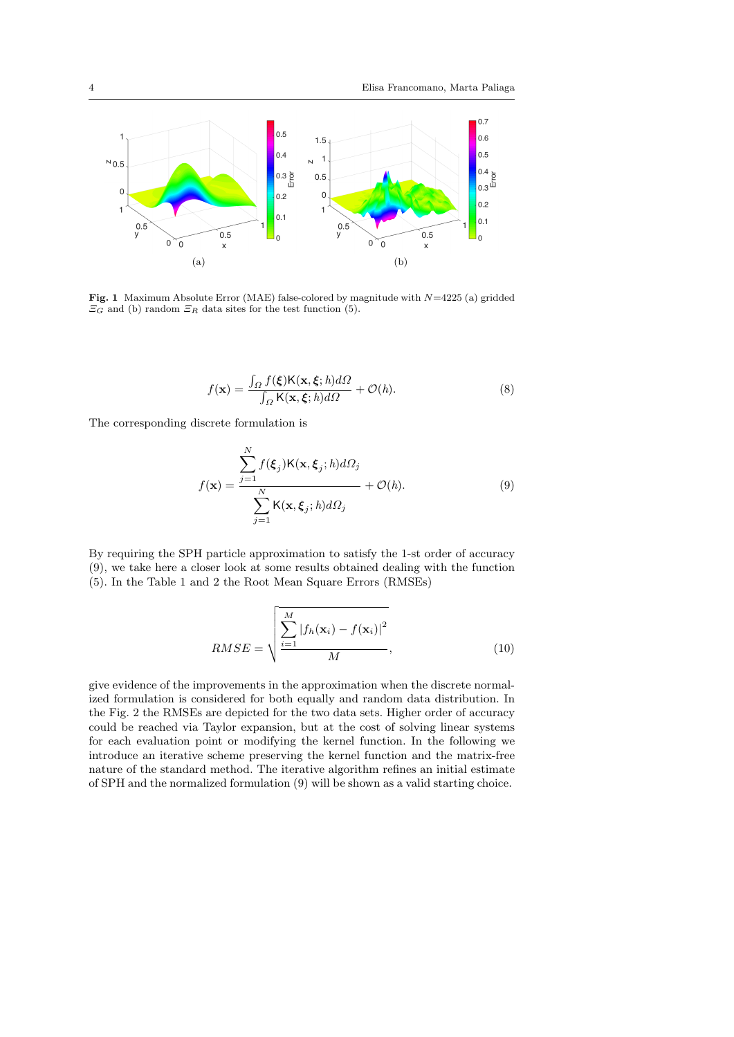

Fig. 1 Maximum Absolute Error (MAE) false-colored by magnitude with *N*=4225 (a) gridded  $\overline{\Xi}_G$  and (b) random  $\overline{\Xi}_R$  data sites for the test function (5).

$$
f(\mathbf{x}) = \frac{\int_{\Omega} f(\xi) \mathsf{K}(\mathbf{x}, \xi; h) d\Omega}{\int_{\Omega} \mathsf{K}(\mathbf{x}, \xi; h) d\Omega} + \mathcal{O}(h).
$$
 (8)

The corresponding discrete formulation is

$$
f(\mathbf{x}) = \frac{\sum_{j=1}^{N} f(\xi_j) \mathsf{K}(\mathbf{x}, \xi_j; h) d\Omega_j}{\sum_{j=1}^{N} \mathsf{K}(\mathbf{x}, \xi_j; h) d\Omega_j} + \mathcal{O}(h).
$$
 (9)

By requiring the SPH particle approximation to satisfy the 1-st order of accuracy (9), we take here a closer look at some results obtained dealing with the function (5). In the Table 1 and 2 the Root Mean Square Errors (RMSEs)

$$
RMSE = \sqrt{\frac{\sum_{i=1}^{M} |f_h(\mathbf{x}_i) - f(\mathbf{x}_i)|^2}{M}},
$$
\n(10)

give evidence of the improvements in the approximation when the discrete normalized formulation is considered for both equally and random data distribution. In the Fig. 2 the RMSEs are depicted for the two data sets. Higher order of accuracy could be reached via Taylor expansion, but at the cost of solving linear systems for each evaluation point or modifying the kernel function. In the following we introduce an iterative scheme preserving the kernel function and the matrix-free nature of the standard method. The iterative algorithm refines an initial estimate of SPH and the normalized formulation (9) will be shown as a valid starting choice.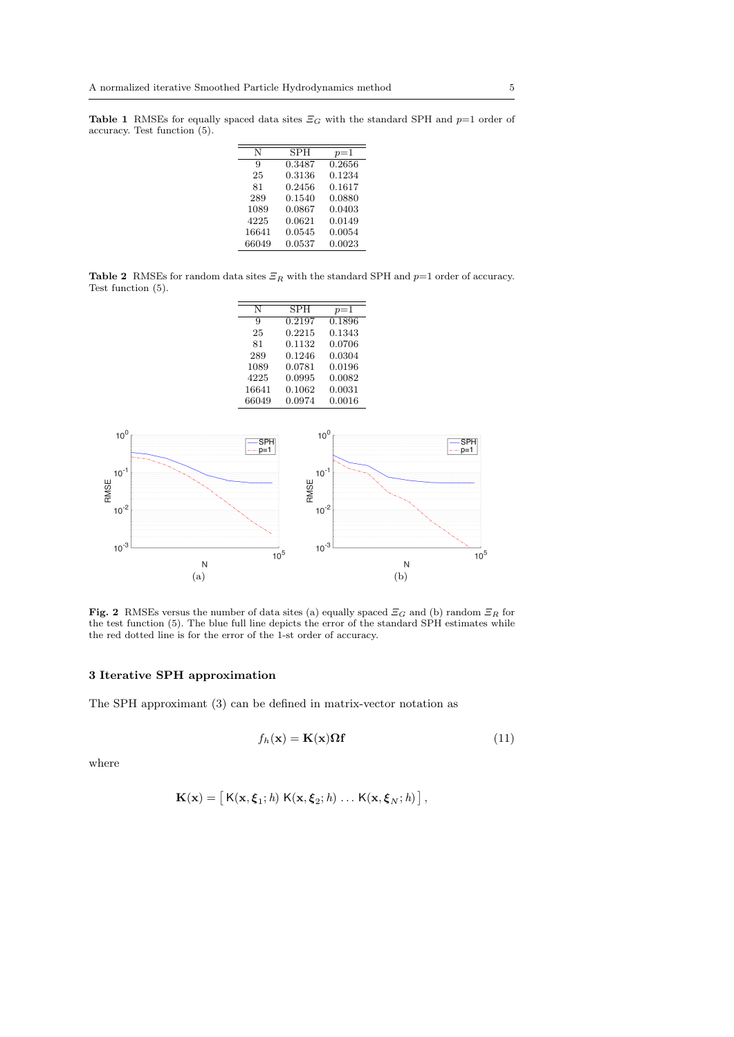Table 1 RMSEs for equally spaced data sites  $\mathcal{Z}_G$  with the standard SPH and  $p=1$  order of accuracy. Test function (5).

| N     | <b>SPH</b> | $p=1$  |
|-------|------------|--------|
| 9     | 0.3487     | 0.2656 |
| 25    | 0.3136     | 0.1234 |
| 81    | 0.2456     | 0.1617 |
| 289   | 0.1540     | 0.0880 |
| 1089  | 0.0867     | 0.0403 |
| 4225  | 0.0621     | 0.0149 |
| 16641 | 0.0545     | 0.0054 |
| 66049 | 0.0537     | 0.0023 |

Table 2 RMSEs for random data sites  $\mathcal{Z}_R$  with the standard SPH and  $p=1$  order of accuracy. Test function (5).

| SPH    | $p=1$  |
|--------|--------|
| 0.2197 | 0.1896 |
| 0.2215 | 0.1343 |
| 0.1132 | 0.0706 |
| 0.1246 | 0.0304 |
| 0.0781 | 0.0196 |
| 0.0995 | 0.0082 |
| 0.1062 | 0.0031 |
| 0.0974 | 0.0016 |
|        |        |



**Fig. 2** RMSEs versus the number of data sites (a) equally spaced  $\mathcal{Z}_G$  and (b) random  $\mathcal{Z}_R$  for the test function (5). The blue full line depicts the error of the standard SPH estimates while the red dotted line is for the error of the 1-st order of accuracy.

# 3 Iterative SPH approximation

The SPH approximant (3) can be defined in matrix-vector notation as

$$
f_h(\mathbf{x}) = \mathbf{K}(\mathbf{x}) \Omega \mathbf{f}
$$
 (11)

where

$$
\mathbf{K}(\mathbf{x}) = \left[ \mathsf{K}(\mathbf{x}, \boldsymbol{\xi}_1; h) \; \mathsf{K}(\mathbf{x}, \boldsymbol{\xi}_2; h) \; \dots \; \mathsf{K}(\mathbf{x}, \boldsymbol{\xi}_N; h) \right],
$$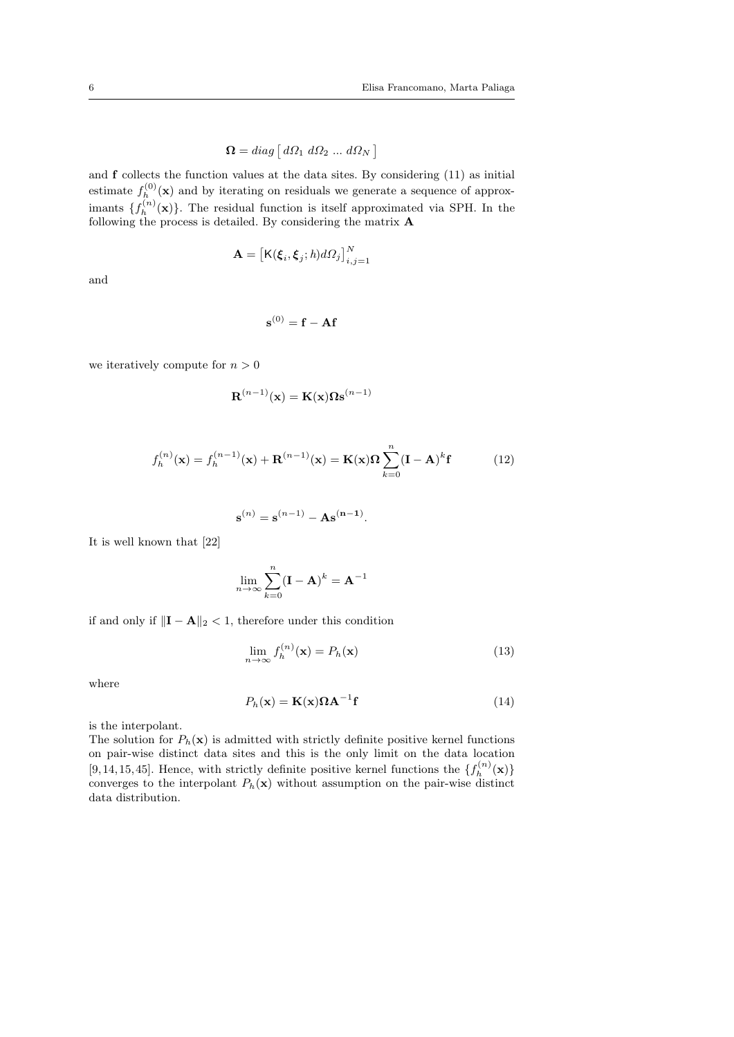$$
\Omega = diag \left[ \, d\Omega_1 \, d\Omega_2 \, \dots \, d\Omega_N \, \right]
$$

and f collects the function values at the data sites. By considering (11) as initial estimate  $f_h^{(0)}(\mathbf{x})$  and by iterating on residuals we generate a sequence of approximants  $\{f_h^{(n)}(\mathbf{x})\}$ . The residual function is itself approximated via SPH. In the following the process is detailed. By considering the matrix A

$$
\mathbf{A} = \big[\mathsf{K}(\boldsymbol{\xi}_i, \boldsymbol{\xi}_j; h)d\Omega_j\big]_{i,j=1}^N
$$

and

$$
\mathbf{s}^{(0)} = \mathbf{f} - \mathbf{A}\mathbf{f}
$$

we iteratively compute for  $n > 0$ 

$$
\mathbf{R}^{(n-1)}(\mathbf{x}) = \mathbf{K}(\mathbf{x}) \mathbf{\Omega} \mathbf{s}^{(n-1)}
$$

$$
f_h^{(n)}(\mathbf{x}) = f_h^{(n-1)}(\mathbf{x}) + \mathbf{R}^{(n-1)}(\mathbf{x}) = \mathbf{K}(\mathbf{x})\Omega \sum_{k=0}^n (\mathbf{I} - \mathbf{A})^k \mathbf{f}
$$
(12)

$$
\mathbf{s}^{(n)} = \mathbf{s}^{(n-1)} - \mathbf{A}\mathbf{s}^{(n-1)}.
$$

It is well known that [22]

$$
\lim_{n \to \infty} \sum_{k=0}^{n} (\mathbf{I} - \mathbf{A})^k = \mathbf{A}^{-1}
$$

if and only if  $\|\mathbf{I} - \mathbf{A}\|_2 < 1$ , therefore under this condition

$$
\lim_{n \to \infty} f_h^{(n)}(\mathbf{x}) = P_h(\mathbf{x}) \tag{13}
$$

where

$$
P_h(\mathbf{x}) = \mathbf{K}(\mathbf{x}) \mathbf{\Omega} \mathbf{A}^{-1} \mathbf{f}
$$
 (14)

is the interpolant.

The solution for  $P_h(\mathbf{x})$  is admitted with strictly definite positive kernel functions on pair-wise distinct data sites and this is the only limit on the data location [9, 14, 15, 45]. Hence, with strictly definite positive kernel functions the  $\{f_h^{(n)}(\mathbf{x})\}$ converges to the interpolant  $P_h(\mathbf{x})$  without assumption on the pair-wise distinct data distribution.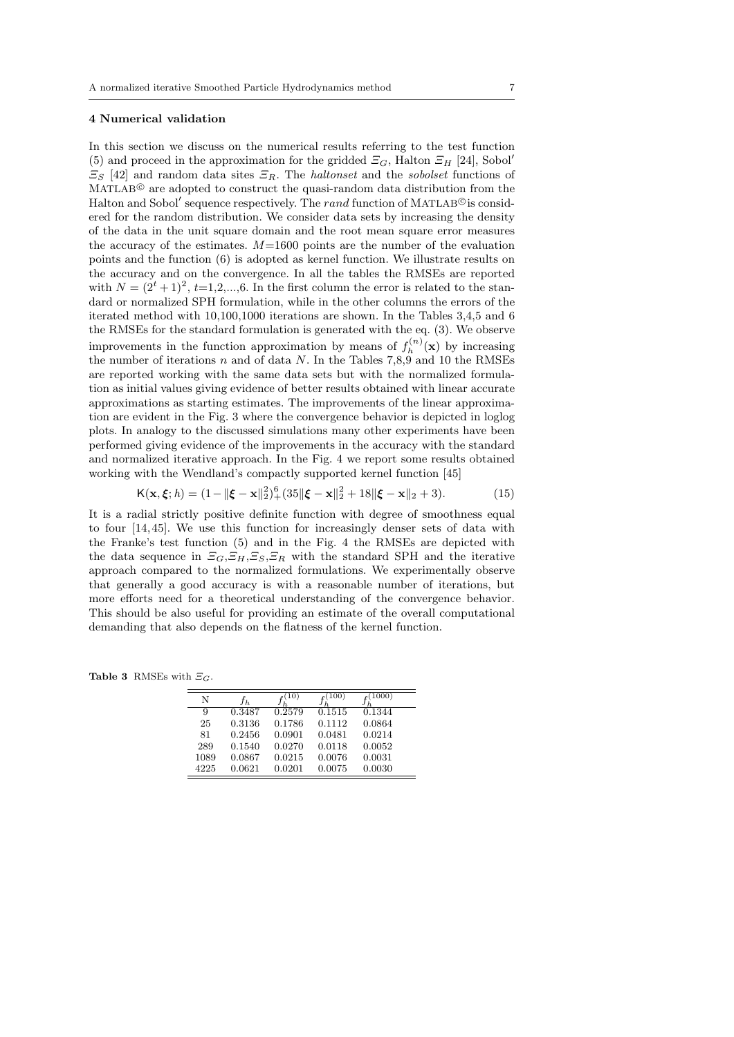#### 4 Numerical validation

In this section we discuss on the numerical results referring to the test function (5) and proceed in the approximation for the gridded  $\mathcal{Z}_G$ , Halton  $\mathcal{Z}_H$  [24], Sobol<sup>'</sup>  $E_S$  [42] and random data sites  $E_R$ . The *haltonset* and the *sobolset* functions of  $MATLAB<sup>®</sup>$  are adopted to construct the quasi-random data distribution from the Halton and Sobol<sup>'</sup> sequence respectively. The *rand* function of MATLAB<sup>©</sup> is considered for the random distribution. We consider data sets by increasing the density of the data in the unit square domain and the root mean square error measures the accuracy of the estimates.  $M=1600$  points are the number of the evaluation points and the function (6) is adopted as kernel function. We illustrate results on the accuracy and on the convergence. In all the tables the RMSEs are reported with  $N = (2^t + 1)^2$ ,  $t=1,2,...,6$ . In the first column the error is related to the standard or normalized SPH formulation, while in the other columns the errors of the iterated method with 10,100,1000 iterations are shown. In the Tables 3,4,5 and 6 the RMSEs for the standard formulation is generated with the eq. (3). We observe improvements in the function approximation by means of  $f_h^{(n)}(\mathbf{x})$  by increasing the number of iterations *n* and of data *N*. In the Tables 7,8,9 and 10 the RMSEs are reported working with the same data sets but with the normalized formulation as initial values giving evidence of better results obtained with linear accurate approximations as starting estimates. The improvements of the linear approximation are evident in the Fig. 3 where the convergence behavior is depicted in loglog plots. In analogy to the discussed simulations many other experiments have been performed giving evidence of the improvements in the accuracy with the standard and normalized iterative approach. In the Fig. 4 we report some results obtained working with the Wendland's compactly supported kernel function [45]

$$
K(\mathbf{x}, \xi; h) = (1 - ||\xi - \mathbf{x}||_2^2)^6 + (35||\xi - \mathbf{x}||_2^2 + 18||\xi - \mathbf{x}||_2 + 3). \tag{15}
$$

It is a radial strictly positive definite function with degree of smoothness equal to four [14, 45]. We use this function for increasingly denser sets of data with the Franke's test function (5) and in the Fig. 4 the RMSEs are depicted with the data sequence in  $\Xi_G$ , $\Xi_H$ , $\Xi_S$ , $\Xi_R$  with the standard SPH and the iterative approach compared to the normalized formulations. We experimentally observe that generally a good accuracy is with a reasonable number of iterations, but more efforts need for a theoretical understanding of the convergence behavior. This should be also useful for providing an estimate of the overall computational demanding that also depends on the flatness of the kernel function.

**Table 3** RMSEs with  $\Xi_G$ .

| N    | fь     | 10)    | (100)  | (1000) |
|------|--------|--------|--------|--------|
| 9    | 0.3487 | 0.2579 | 0.1515 | 0.1344 |
| 25   | 0.3136 | 0.1786 | 0.1112 | 0.0864 |
| 81   | 0.2456 | 0.0901 | 0.0481 | 0.0214 |
| 289  | 0.1540 | 0.0270 | 0.0118 | 0.0052 |
| 1089 | 0.0867 | 0.0215 | 0.0076 | 0.0031 |
| 4225 | 0.0621 | 0.0201 | 0.0075 | 0.0030 |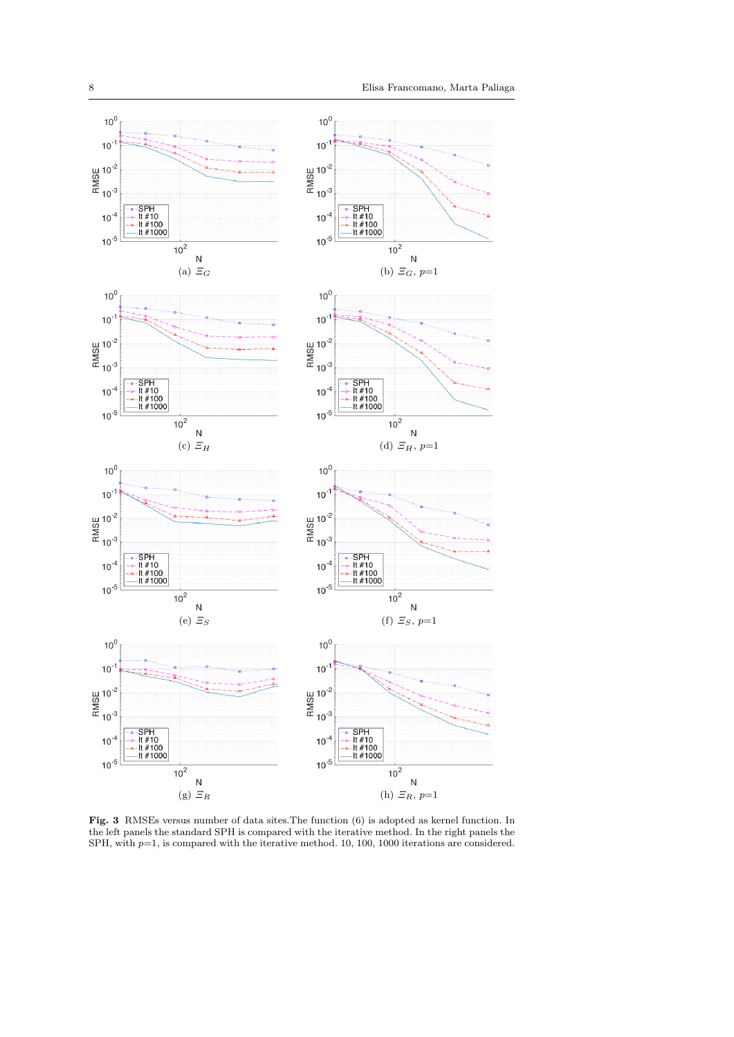

Fig. 3 RMSEs versus number of data sites.The function (6) is adopted as kernel function. In the left panels the standard SPH is compared with the iterative method. In the right panels the SPH, with  $p=1$ , is compared with the iterative method. 10, 100, 1000 iterations are considered.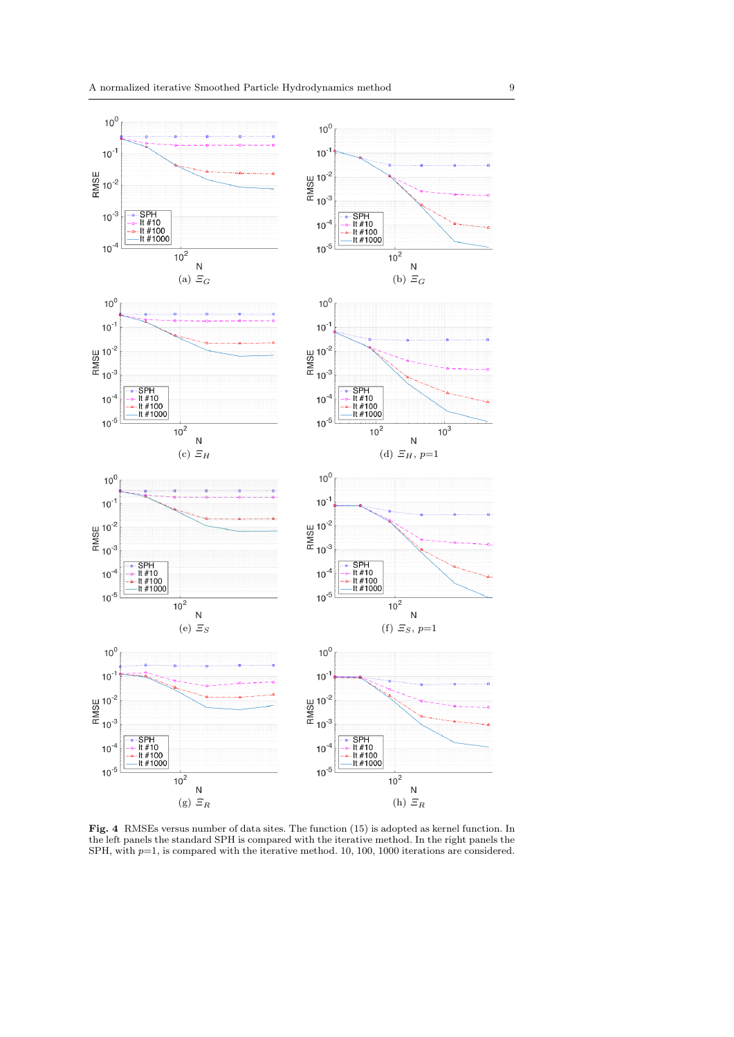

Fig. 4 RMSEs versus number of data sites. The function (15) is adopted as kernel function. In the left panels the standard SPH is compared with the iterative method. In the right panels the SPH, with  $p=1$ , is compared with the iterative method. 10, 100, 1000 iterations are considered.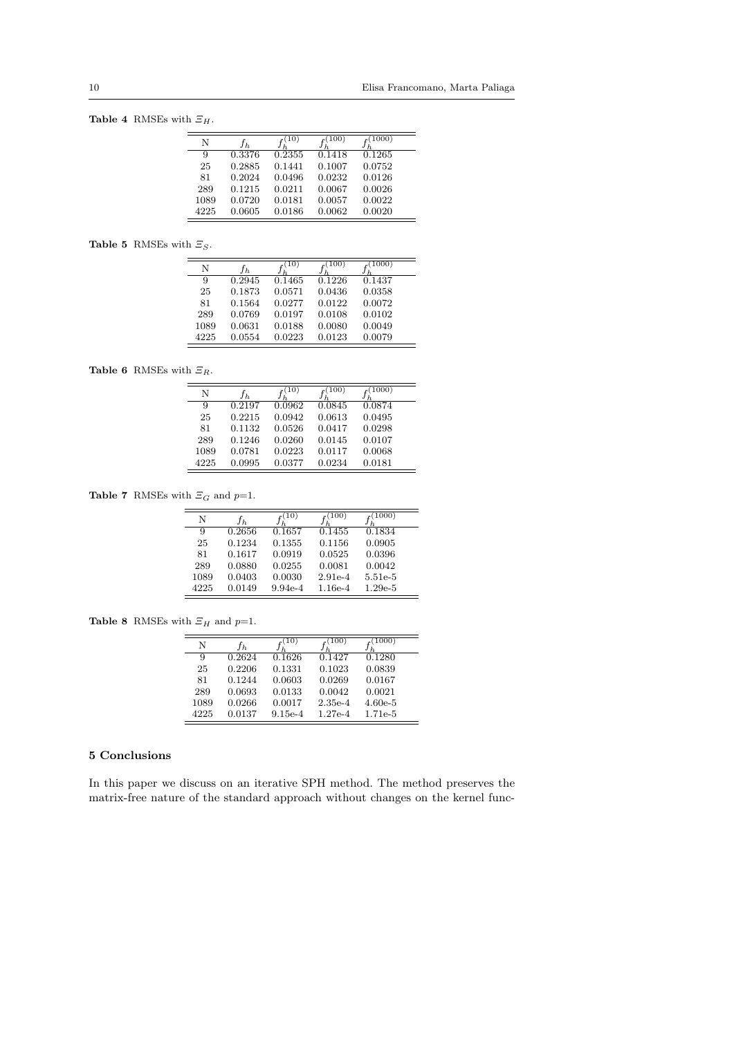Table 4 RMSEs with  $\Xi_H$ .

| N    | t h    | 10)    | 100    | 1000)  |
|------|--------|--------|--------|--------|
| 9    | 0.3376 | 0.2355 | 0.1418 | 0.1265 |
| 25   | 0.2885 | 0.1441 | 0.1007 | 0.0752 |
| 81   | 0.2024 | 0.0496 | 0.0232 | 0.0126 |
| 289  | 0.1215 | 0.0211 | 0.0067 | 0.0026 |
| 1089 | 0.0720 | 0.0181 | 0.0057 | 0.0022 |
| 4225 | 0.0605 | 0.0186 | 0.0062 | 0.0020 |

**Table 5** RMSEs with  $\Xi_S$ .

| N    | fь.    | 10     | 100)   | 1000)  |
|------|--------|--------|--------|--------|
| 9    | 0.2945 | 0.1465 | 0.1226 | 0.1437 |
| 25   | 0.1873 | 0.0571 | 0.0436 | 0.0358 |
| 81   | 0.1564 | 0.0277 | 0.0122 | 0.0072 |
| 289  | 0.0769 | 0.0197 | 0.0108 | 0.0102 |
| 1089 | 0.0631 | 0.0188 | 0.0080 | 0.0049 |
| 4225 | 0.0554 | 0.0223 | 0.0123 | 0.0079 |

Table 6 RMSEs with  $\Xi_R$ .

| N    | ŤЬ     | $10^{\circ}$ | 100    | 1000)  |
|------|--------|--------------|--------|--------|
| 9    | 0.2197 | 0.0962       | 0.0845 | 0.0874 |
| 25   | 0.2215 | 0.0942       | 0.0613 | 0.0495 |
| 81   | 0.1132 | 0.0526       | 0.0417 | 0.0298 |
| 289  | 0.1246 | 0.0260       | 0.0145 | 0.0107 |
| 1089 | 0.0781 | 0.0223       | 0.0117 | 0.0068 |
| 4225 | 0.0995 | 0.0377       | 0.0234 | 0.0181 |

**Table 7** RMSEs with  $\Xi_G$  and  $p=1$ .

| N    | ĴЬ.    | 10)       | (100)     | (1000)    |
|------|--------|-----------|-----------|-----------|
| 9    | 0.2656 | 0.1657    | 0.1455    | 0.1834    |
| 25   | 0.1234 | 0.1355    | 0.1156    | 0.0905    |
| 81   | 0.1617 | 0.0919    | 0.0525    | 0.0396    |
| 289  | 0.0880 | 0.0255    | 0.0081    | 0.0042    |
| 1089 | 0.0403 | 0.0030    | $2.91e-4$ | 5.51e-5   |
| 4225 | 0.0149 | $9.94e-4$ | 1.16e-4   | $1.29e-5$ |

**Table 8** RMSEs with  $\Xi_H$  and  $p=1$ .

| N    | $t_h$  | $10^{\circ}$ | (100)     | 1000)     |
|------|--------|--------------|-----------|-----------|
| 9    | 0.2624 | 0.1626       | 0.1427    | 0.1280    |
| 25   | 0.2206 | 0.1331       | 0.1023    | 0.0839    |
| 81   | 0.1244 | 0.0603       | 0.0269    | 0.0167    |
| 289  | 0.0693 | 0.0133       | 0.0042    | 0.0021    |
| 1089 | 0.0266 | 0.0017       | $2.35e-4$ | $4.60e-5$ |
| 4225 | 0.0137 | $9.15e-4$    | $1.27e-4$ | 1.71e-5   |

# 5 Conclusions

In this paper we discuss on an iterative SPH method. The method preserves the matrix-free nature of the standard approach without changes on the kernel func-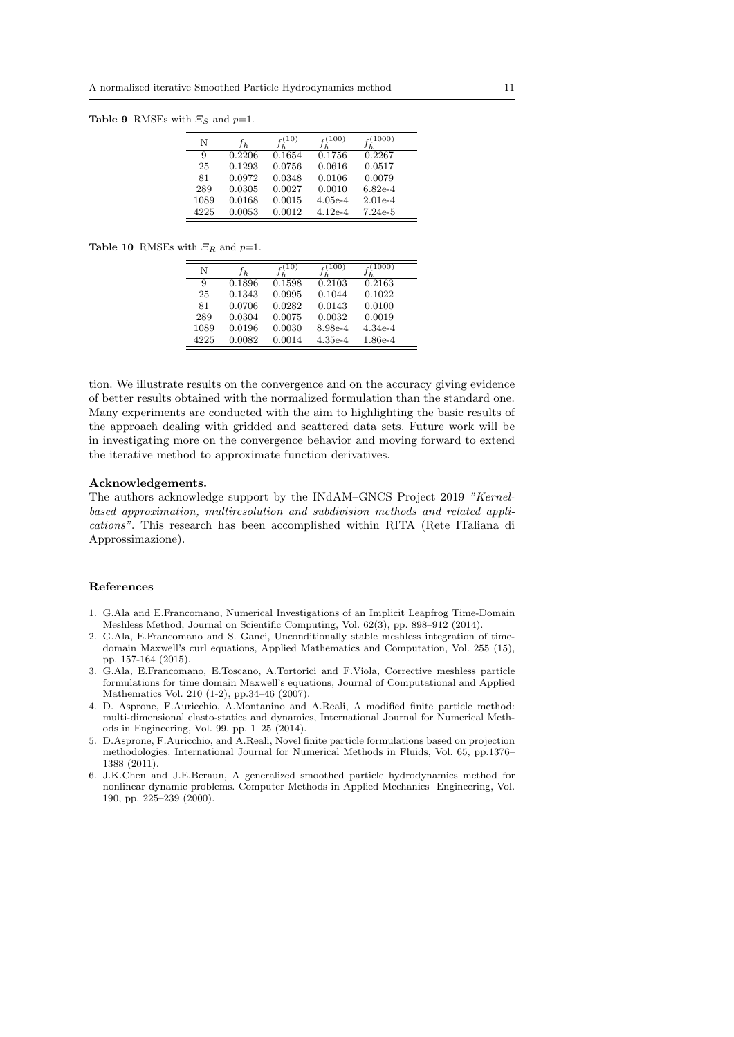**Table 9** RMSEs with  $\mathcal{Z}_S$  and  $p=1$ .

| N    | fь     | 10)    | 100)      | (1000)    |
|------|--------|--------|-----------|-----------|
| 9    | 0.2206 | 0.1654 | 0.1756    | 0.2267    |
| 25   | 0.1293 | 0.0756 | 0.0616    | 0.0517    |
| 81   | 0.0972 | 0.0348 | 0.0106    | 0.0079    |
| 289  | 0.0305 | 0.0027 | 0.0010    | $6.82e-4$ |
| 1089 | 0.0168 | 0.0015 | $4.05e-4$ | $2.01e-4$ |
| 4225 | 0.0053 | 0.0012 | $4.12e-4$ | $7.24e-5$ |

**Table 10** RMSEs with  $\mathcal{Z}_R$  and  $p=1$ .

|      |        | 10)    | 100       | (1000)    |
|------|--------|--------|-----------|-----------|
| N    | ĴЪ.    |        |           |           |
| 9    | 0.1896 | 0.1598 | 0.2103    | 0.2163    |
| 25   | 0.1343 | 0.0995 | 0.1044    | 0.1022    |
| 81   | 0.0706 | 0.0282 | 0.0143    | 0.0100    |
| 289  | 0.0304 | 0.0075 | 0.0032    | 0.0019    |
| 1089 | 0.0196 | 0.0030 | 8.98e-4   | $4.34e-4$ |
| 4225 | 0.0082 | 0.0014 | $4.35e-4$ | $1.86e-4$ |

tion. We illustrate results on the convergence and on the accuracy giving evidence of better results obtained with the normalized formulation than the standard one. Many experiments are conducted with the aim to highlighting the basic results of the approach dealing with gridded and scattered data sets. Future work will be in investigating more on the convergence behavior and moving forward to extend the iterative method to approximate function derivatives.

#### Acknowledgements.

The authors acknowledge support by the INdAM–GNCS Project 2019 *"Kernelbased approximation, multiresolution and subdivision methods and related applications"*. This research has been accomplished within RITA (Rete ITaliana di Approssimazione).

## References

- 1. G.Ala and E.Francomano, Numerical Investigations of an Implicit Leapfrog Time-Domain Meshless Method, Journal on Scientific Computing, Vol. 62(3), pp. 898–912 (2014).
- 2. G.Ala, E.Francomano and S. Ganci, Unconditionally stable meshless integration of timedomain Maxwell's curl equations, Applied Mathematics and Computation, Vol. 255 (15), pp. 157-164 (2015).
- 3. G.Ala, E.Francomano, E.Toscano, A.Tortorici and F.Viola, Corrective meshless particle formulations for time domain Maxwell's equations, Journal of Computational and Applied Mathematics Vol. 210 (1-2), pp.34–46 (2007).
- 4. D. Asprone, F.Auricchio, A.Montanino and A.Reali, A modified finite particle method: multi-dimensional elasto-statics and dynamics, International Journal for Numerical Methods in Engineering, Vol. 99. pp. 1–25 (2014).
- 5. D.Asprone, F.Auricchio, and A.Reali, Novel finite particle formulations based on projection methodologies. International Journal for Numerical Methods in Fluids, Vol. 65, pp.1376– 1388 (2011).
- 6. J.K.Chen and J.E.Beraun, A generalized smoothed particle hydrodynamics method for nonlinear dynamic problems. Computer Methods in Applied Mechanics Engineering, Vol. 190, pp. 225–239 (2000).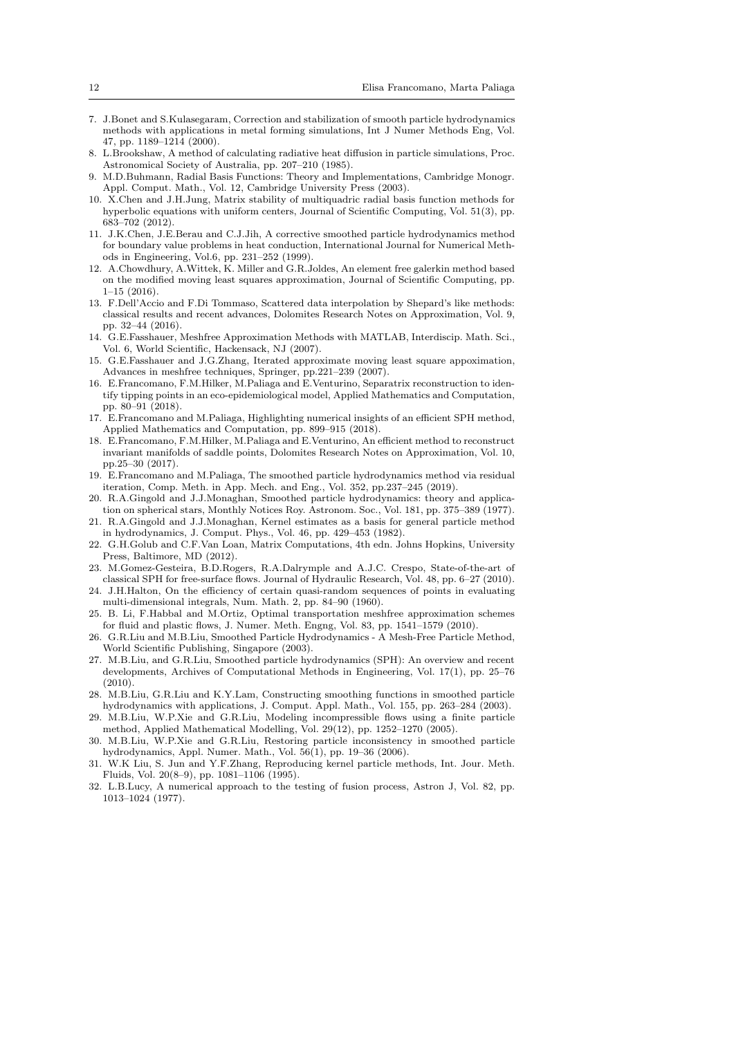- 7. J.Bonet and S.Kulasegaram, Correction and stabilization of smooth particle hydrodynamics methods with applications in metal forming simulations, Int J Numer Methods Eng, Vol. 47, pp. 1189–1214 (2000).
- 8. L.Brookshaw, A method of calculating radiative heat diffusion in particle simulations, Proc. Astronomical Society of Australia, pp. 207–210 (1985).
- 9. M.D.Buhmann, Radial Basis Functions: Theory and Implementations, Cambridge Monogr. Appl. Comput. Math., Vol. 12, Cambridge University Press (2003).
- 10. X.Chen and J.H.Jung, Matrix stability of multiquadric radial basis function methods for hyperbolic equations with uniform centers, Journal of Scientific Computing, Vol. 51(3), pp. 683–702 (2012).
- 11. J.K.Chen, J.E.Berau and C.J.Jih, A corrective smoothed particle hydrodynamics method for boundary value problems in heat conduction, International Journal for Numerical Methods in Engineering, Vol.6, pp. 231–252 (1999).
- 12. A.Chowdhury, A.Wittek, K. Miller and G.R.Joldes, An element free galerkin method based on the modified moving least squares approximation, Journal of Scientific Computing, pp.  $1-15(2016)$ .
- 13. F.Dell'Accio and F.Di Tommaso, Scattered data interpolation by Shepard's like methods: classical results and recent advances, Dolomites Research Notes on Approximation, Vol. 9, pp. 32-44 (2016).
- 14. G.E.Fasshauer, Meshfree Approximation Methods with MATLAB, Interdiscip. Math. Sci., Vol. 6, World Scientific, Hackensack, NJ (2007).
- 15. G.E.Fasshauer and J.G.Zhang, Iterated approximate moving least square appoximation, Advances in meshfree techniques, Springer, pp.221–239 (2007).
- 16. E.Francomano, F.M.Hilker, M.Paliaga and E.Venturino, Separatrix reconstruction to identify tipping points in an eco-epidemiological model, Applied Mathematics and Computation, pp. 80–91 (2018).
- 17. E.Francomano and M.Paliaga, Highlighting numerical insights of an efficient SPH method, Applied Mathematics and Computation, pp. 899–915 (2018).
- 18. E.Francomano, F.M.Hilker, M.Paliaga and E.Venturino, An efficient method to reconstruct invariant manifolds of saddle points, Dolomites Research Notes on Approximation, Vol. 10, pp.25–30 (2017).
- 19. E.Francomano and M.Paliaga, The smoothed particle hydrodynamics method via residual iteration, Comp. Meth. in App. Mech. and Eng., Vol. 352, pp.237–245 (2019).
- 20. R.A.Gingold and J.J.Monaghan, Smoothed particle hydrodynamics: theory and application on spherical stars, Monthly Notices Roy. Astronom. Soc., Vol. 181, pp. 375–389 (1977).
- 21. R.A.Gingold and J.J.Monaghan, Kernel estimates as a basis for general particle method in hydrodynamics, J. Comput. Phys., Vol. 46, pp. 429–453 (1982).
- 22. G.H.Golub and C.F.Van Loan, Matrix Computations, 4th edn. Johns Hopkins, University Press, Baltimore, MD (2012).
- 23. M.Gomez-Gesteira, B.D.Rogers, R.A.Dalrymple and A.J.C. Crespo, State-of-the-art of classical SPH for free-surface flows. Journal of Hydraulic Research, Vol. 48, pp. 6–27 (2010).
- 24. J.H.Halton, On the efficiency of certain quasi-random sequences of points in evaluating multi-dimensional integrals, Num. Math. 2, pp. 84–90 (1960).
- 25. B. Li, F.Habbal and M.Ortiz, Optimal transportation meshfree approximation schemes for fluid and plastic flows, J. Numer. Meth. Engng, Vol. 83, pp. 1541–1579 (2010).
- 26. G.R.Liu and M.B.Liu, Smoothed Particle Hydrodynamics A Mesh-Free Particle Method, World Scientific Publishing, Singapore (2003).
- 27. M.B.Liu, and G.R.Liu, Smoothed particle hydrodynamics (SPH): An overview and recent developments, Archives of Computational Methods in Engineering, Vol. 17(1), pp. 25–76  $(2010)$
- 28. M.B.Liu, G.R.Liu and K.Y.Lam, Constructing smoothing functions in smoothed particle hydrodynamics with applications, J. Comput. Appl. Math., Vol. 155, pp. 263–284 (2003).
- 29. M.B.Liu, W.P.Xie and G.R.Liu, Modeling incompressible flows using a finite particle method, Applied Mathematical Modelling, Vol. 29(12), pp. 1252–1270 (2005).
- 30. M.B.Liu, W.P.Xie and G.R.Liu, Restoring particle inconsistency in smoothed particle hydrodynamics, Appl. Numer. Math., Vol. 56(1), pp. 19–36 (2006).
- 31. W.K Liu, S. Jun and Y.F.Zhang, Reproducing kernel particle methods, Int. Jour. Meth. Fluids, Vol. 20(8–9), pp. 1081–1106 (1995).
- 32. L.B.Lucy, A numerical approach to the testing of fusion process, Astron J, Vol. 82, pp. 1013–1024 (1977).